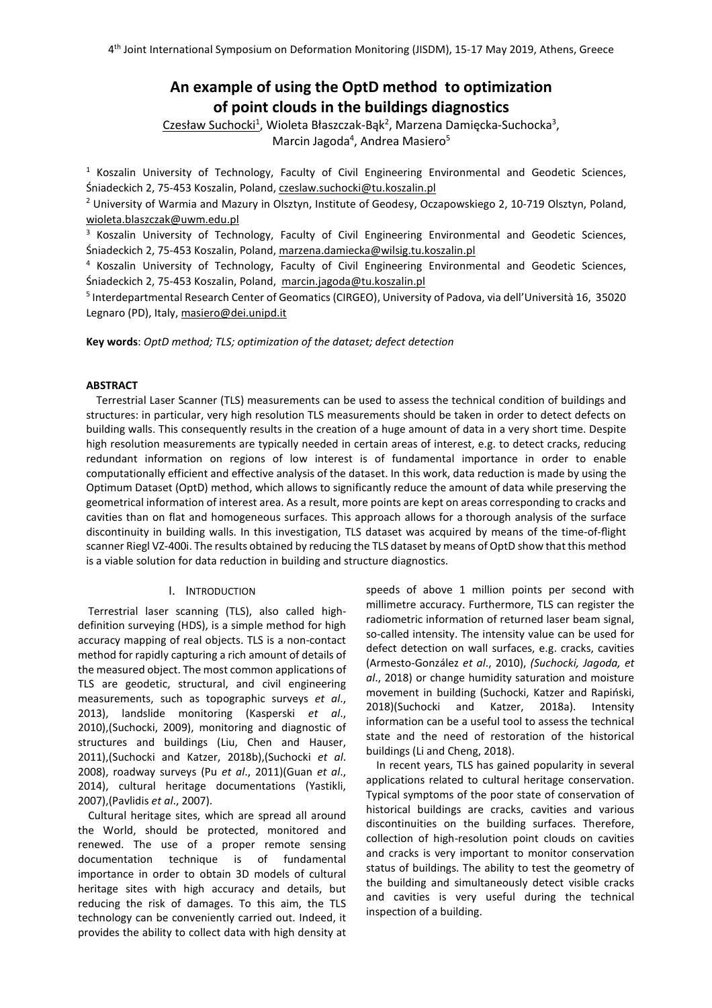# **An example of using the OptD method to optimization of point clouds in the buildings diagnostics**

Czesław Suchocki<sup>1</sup>, Wioleta Błaszczak-Bąk<sup>2</sup>, Marzena Damięcka-Suchocka<sup>3</sup>, Marcin Jagoda<sup>4</sup>, Andrea Masiero<sup>5</sup>

<sup>1</sup> Koszalin University of Technology, Faculty of Civil Engineering Environmental and Geodetic Sciences, Śniadeckich 2, 75-453 Koszalin, Poland, czeslaw.suchocki@tu.koszalin.pl

<sup>2</sup> University of Warmia and Mazury in Olsztyn, Institute of Geodesy, Oczapowskiego 2, 10-719 Olsztyn, Poland, wioleta.blaszczak@uwm.edu.pl

<sup>3</sup> Koszalin University of Technology, Faculty of Civil Engineering Environmental and Geodetic Sciences, Śniadeckich 2, 75-453 Koszalin, Poland, marzena.damiecka@wilsig.tu.koszalin.pl

<sup>4</sup> Koszalin University of Technology, Faculty of Civil Engineering Environmental and Geodetic Sciences, Śniadeckich 2, 75-453 Koszalin, Poland, marcin.jagoda@tu.koszalin.pl

5 Interdepartmental Research Center of Geomatics (CIRGEO), University of Padova, via dell'Università 16, 35020 Legnaro (PD), Italy, masiero@dei.unipd.it

**Key words**: *OptD method; TLS; optimization of the dataset; defect detection*

# **ABSTRACT**

Terrestrial Laser Scanner (TLS) measurements can be used to assess the technical condition of buildings and structures: in particular, very high resolution TLS measurements should be taken in order to detect defects on building walls. This consequently results in the creation of a huge amount of data in a very short time. Despite high resolution measurements are typically needed in certain areas of interest, e.g. to detect cracks, reducing redundant information on regions of low interest is of fundamental importance in order to enable computationally efficient and effective analysis of the dataset. In this work, data reduction is made by using the Optimum Dataset (OptD) method, which allows to significantly reduce the amount of data while preserving the geometrical information of interest area. As a result, more points are kept on areas corresponding to cracks and cavities than on flat and homogeneous surfaces. This approach allows for a thorough analysis of the surface discontinuity in building walls. In this investigation, TLS dataset was acquired by means of the time-of-flight scanner Riegl VZ-400i. The results obtained by reducing the TLS dataset by means of OptD show that this method is a viable solution for data reduction in building and structure diagnostics.

# I. INTRODUCTION

Terrestrial laser scanning (TLS), also called highdefinition surveying (HDS), is a simple method for high accuracy mapping of real objects. TLS is a non-contact method for rapidly capturing a rich amount of details of the measured object. The most common applications of TLS are geodetic, structural, and civil engineering measurements, such as topographic surveys *et al*., 2013), landslide monitoring (Kasperski *et al*., 2010),(Suchocki, 2009), monitoring and diagnostic of structures and buildings (Liu, Chen and Hauser, 2011),(Suchocki and Katzer, 2018b),(Suchocki *et al*. 2008), roadway surveys (Pu *et al*., 2011)(Guan *et al*., 2014), cultural heritage documentations (Yastikli, 2007),(Pavlidis *et al*., 2007).

Cultural heritage sites, which are spread all around the World, should be protected, monitored and renewed. The use of a proper remote sensing documentation technique is of fundamental importance in order to obtain 3D models of cultural heritage sites with high accuracy and details, but reducing the risk of damages. To this aim, the TLS technology can be conveniently carried out. Indeed, it provides the ability to collect data with high density at speeds of above 1 million points per second with millimetre accuracy. Furthermore, TLS can register the radiometric information of returned laser beam signal, so-called intensity. The intensity value can be used for defect detection on wall surfaces, e.g. cracks, cavities (Armesto-González *et al*., 2010), *(Suchocki, Jagoda, et al*., 2018) or change humidity saturation and moisture movement in building (Suchocki, Katzer and Rapiński, 2018)(Suchocki and Katzer, 2018a). Intensity information can be a useful tool to assess the technical state and the need of restoration of the historical buildings (Li and Cheng, 2018).

In recent years, TLS has gained popularity in several applications related to cultural heritage conservation. Typical symptoms of the poor state of conservation of historical buildings are cracks, cavities and various discontinuities on the building surfaces. Therefore, collection of high-resolution point clouds on cavities and cracks is very important to monitor conservation status of buildings. The ability to test the geometry of the building and simultaneously detect visible cracks and cavities is very useful during the technical inspection of a building.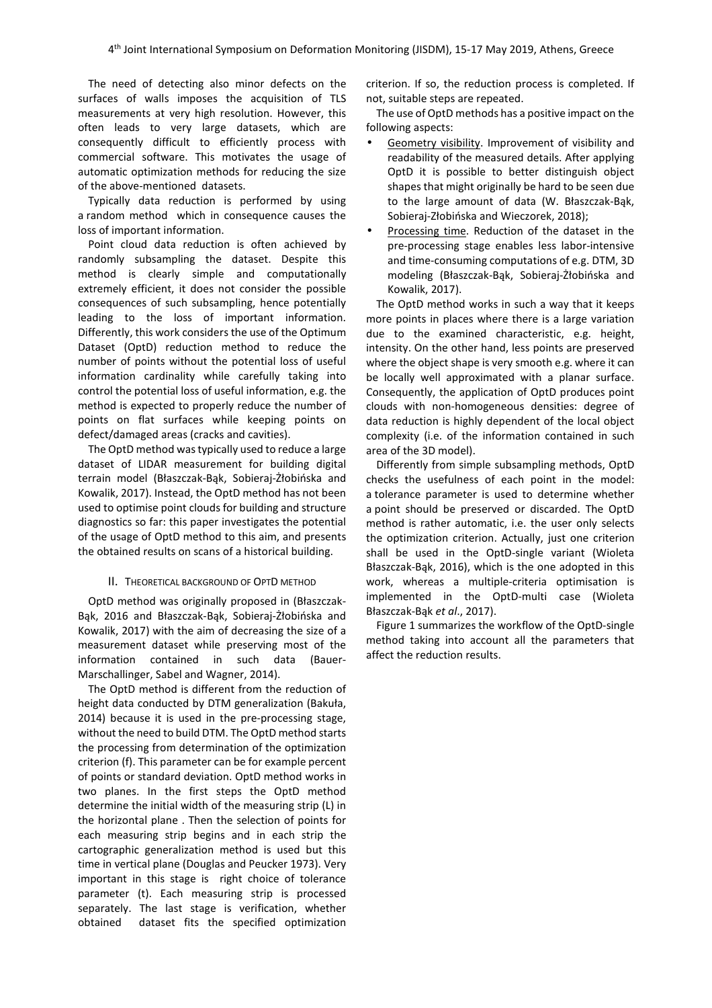The need of detecting also minor defects on the surfaces of walls imposes the acquisition of TLS measurements at very high resolution. However, this often leads to very large datasets, which are consequently difficult to efficiently process with commercial software. This motivates the usage of automatic optimization methods for reducing the size of the above-mentioned datasets.

Typically data reduction is performed by using a random method which in consequence causes the loss of important information.

Point cloud data reduction is often achieved by randomly subsampling the dataset. Despite this method is clearly simple and computationally extremely efficient, it does not consider the possible consequences of such subsampling, hence potentially leading to the loss of important information. Differently, this work considers the use of the Optimum Dataset (OptD) reduction method to reduce the number of points without the potential loss of useful information cardinality while carefully taking into control the potential loss of useful information, e.g. the method is expected to properly reduce the number of points on flat surfaces while keeping points on defect/damaged areas (cracks and cavities).

The OptD method was typically used to reduce a large dataset of LIDAR measurement for building digital terrain model (Błaszczak-Bąk, Sobieraj-Żłobińska and Kowalik, 2017). Instead, the OptD method has not been used to optimise point clouds for building and structure diagnostics so far: this paper investigates the potential of the usage of OptD method to this aim, and presents the obtained results on scans of a historical building.

## II. THEORETICAL BACKGROUND OF OPTD METHOD

OptD method was originally proposed in (Błaszczak-Bąk, 2016 and Błaszczak-Bąk, Sobieraj-Żłobińska and Kowalik, 2017) with the aim of decreasing the size of a measurement dataset while preserving most of the information contained in such data (Bauer-Marschallinger, Sabel and Wagner, 2014).

The OptD method is different from the reduction of height data conducted by DTM generalization (Bakuła, 2014) because it is used in the pre-processing stage, without the need to build DTM. The OptD method starts the processing from determination of the optimization criterion (f). This parameter can be for example percent of points or standard deviation. OptD method works in two planes. In the first steps the OptD method determine the initial width of the measuring strip (L) in the horizontal plane . Then the selection of points for each measuring strip begins and in each strip the cartographic generalization method is used but this time in vertical plane (Douglas and Peucker 1973). Very important in this stage is right choice of tolerance parameter (t). Each measuring strip is processed separately. The last stage is verification, whether obtained dataset fits the specified optimization criterion. If so, the reduction process is completed. If not, suitable steps are repeated.

The use of OptD methods has a positive impact on the following aspects:

- Geometry visibility. Improvement of visibility and readability of the measured details. After applying OptD it is possible to better distinguish object shapes that might originally be hard to be seen due to the large amount of data (W. Błaszczak-Bąk, Sobieraj-Złobińska and Wieczorek, 2018);
- Processing time. Reduction of the dataset in the pre-processing stage enables less labor-intensive and time-consuming computations of e.g. DTM, 3D modeling (Błaszczak-Bąk, Sobieraj-Żłobińska and Kowalik, 2017).

The OptD method works in such a way that it keeps more points in places where there is a large variation due to the examined characteristic, e.g. height, intensity. On the other hand, less points are preserved where the object shape is very smooth e.g. where it can be locally well approximated with a planar surface. Consequently, the application of OptD produces point clouds with non-homogeneous densities: degree of data reduction is highly dependent of the local object complexity (i.e. of the information contained in such area of the 3D model).

Differently from simple subsampling methods, OptD checks the usefulness of each point in the model: a tolerance parameter is used to determine whether a point should be preserved or discarded. The OptD method is rather automatic, i.e. the user only selects the optimization criterion. Actually, just one criterion shall be used in the OptD-single variant (Wioleta Błaszczak-Bąk, 2016), which is the one adopted in this work, whereas a multiple-criteria optimisation is implemented in the OptD-multi case (Wioleta Błaszczak-Bąk *et al*., 2017).

Figure 1 summarizes the workflow of the OptD-single method taking into account all the parameters that affect the reduction results.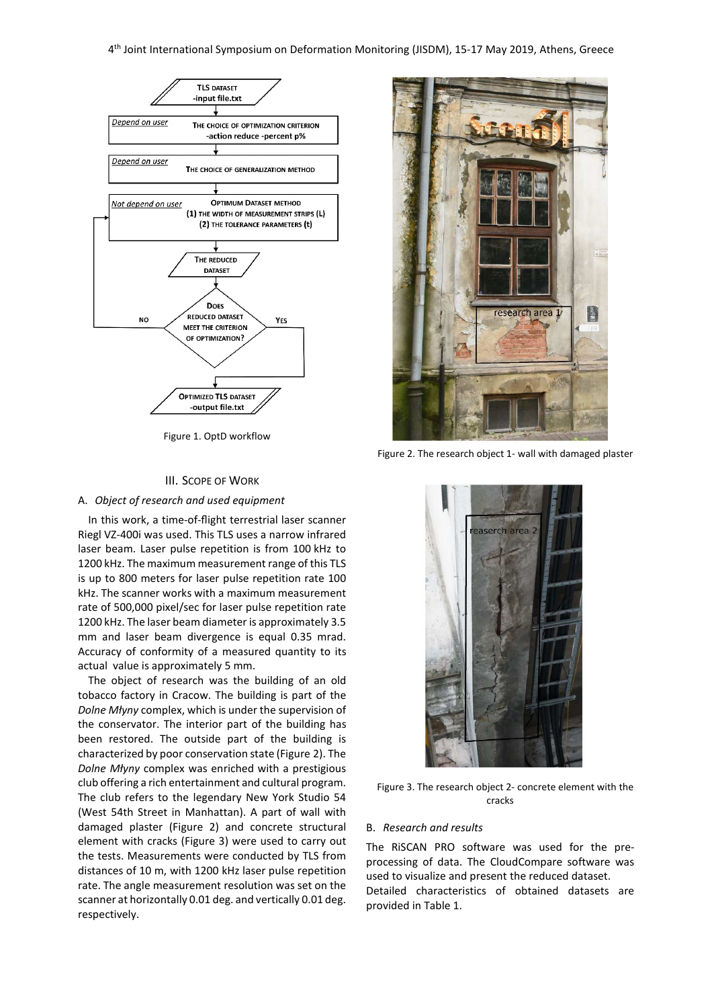

Figure 1. OptD workflow

#### III. SCOPE OF WORK

## A. *Object of research and used equipment*

In this work, a time-of-flight terrestrial laser scanner Riegl VZ-400i was used. This TLS uses a narrow infrared laser beam. Laser pulse repetition is from 100 kHz to 1200 kHz. The maximum measurement range of this TLS is up to 800 meters for laser pulse repetition rate 100 kHz. The scanner works with a maximum measurement rate of 500,000 pixel/sec for laser pulse repetition rate 1200 kHz. The laser beam diameter is approximately 3.5 mm and laser beam divergence is equal 0.35 mrad. Accuracy of conformity of a measured quantity to its actual value is approximately 5 mm.

The object of research was the building of an old tobacco factory in Cracow. The building is part of the *Dolne Młyny* complex, which is under the supervision of the conservator. The interior part of the building has been restored. The outside part of the building is characterized by poor conservation state (Figure 2). The *Dolne Młyny* complex was enriched with a prestigious club offering a rich entertainment and cultural program. The club refers to the legendary New York Studio 54 (West 54th Street in Manhattan). A part of wall with damaged plaster (Figure 2) and concrete structural element with cracks (Figure 3) were used to carry out the tests. Measurements were conducted by TLS from distances of 10 m, with 1200 kHz laser pulse repetition rate. The angle measurement resolution was set on the scanner at horizontally 0.01 deg. and vertically 0.01 deg. respectively.



Figure 2. The research object 1- wall with damaged plaster



Figure 3. The research object 2- concrete element with the cracks

#### B. *Research and results*

The RiSCAN PRO software was used for the preprocessing of data. The CloudCompare software was used to visualize and present the reduced dataset. Detailed characteristics of obtained datasets are

provided in Table 1.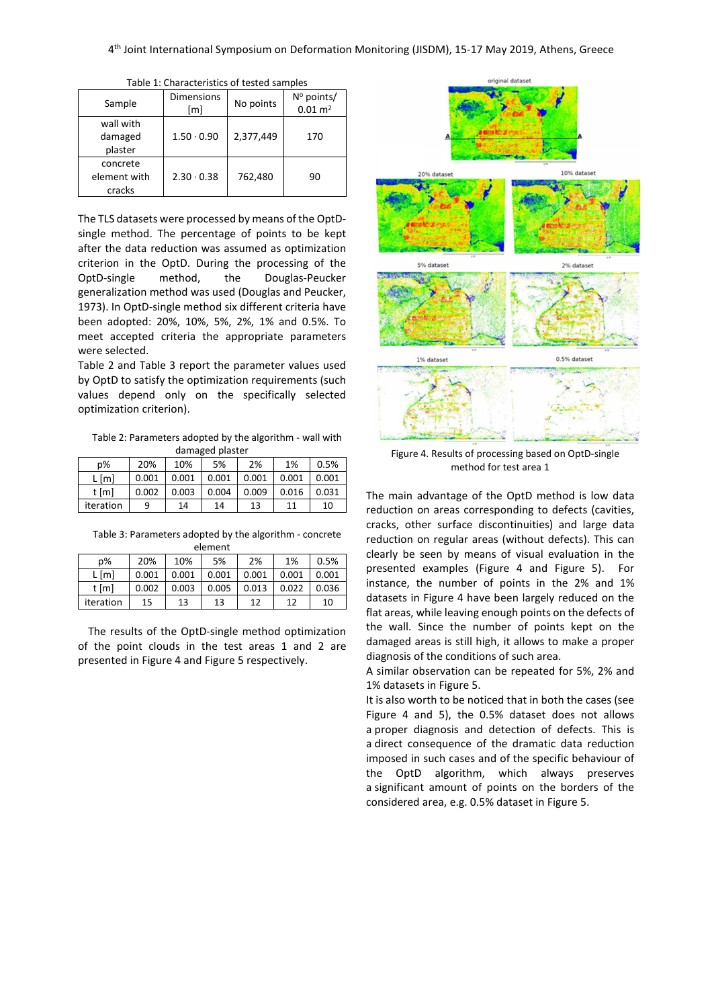| rapic 1. Characteristics or tested samples |                          |           |                                             |  |  |
|--------------------------------------------|--------------------------|-----------|---------------------------------------------|--|--|
| Sample                                     | <b>Dimensions</b><br>[m] | No points | $N^{\circ}$ points/<br>$0.01 \, \text{m}^2$ |  |  |
| wall with<br>damaged<br>plaster            | $1.50 \cdot 0.90$        | 2,377,449 | 170                                         |  |  |
| concrete<br>element with<br>cracks         | $2.30 \cdot 0.38$        | 762,480   | 90                                          |  |  |

Table 1: Characteristics of tested samples

The TLS datasets were processed by means of the OptDsingle method. The percentage of points to be kept after the data reduction was assumed as optimization criterion in the OptD. During the processing of the OptD-single method, the Douglas-Peucker generalization method was used (Douglas and Peucker, 1973). In OptD-single method six different criteria have been adopted: 20%, 10%, 5%, 2%, 1% and 0.5%. To meet accepted criteria the appropriate parameters were selected.

Table 2 and Table 3 report the parameter values used by OptD to satisfy the optimization requirements (such values depend only on the specifically selected optimization criterion).

Table 2: Parameters adopted by the algorithm - wall with damaged plaster

| p%        | 20%   | 10%   | 5%    | 2%    | 1%    | 0.5%  |
|-----------|-------|-------|-------|-------|-------|-------|
| $L$ [m]   | 0.001 | 0.001 | 0.001 | 0.001 | 0.001 | 0.001 |
| t [m]     | 0.002 | 0.003 | 0.004 | 0.009 | 0.016 | 0.031 |
| iteration | q     | 14    | 14    | 13    |       | 10    |

Table 3: Parameters adopted by the algorithm - concrete element

| $p\%$     | 20%   | 10%   | 5%    | 2%    | 1%    | 0.5%  |
|-----------|-------|-------|-------|-------|-------|-------|
| $L$ [m]   | 0.001 | 0.001 | 0.001 | 0.001 | 0.001 | 0.001 |
| t [m]     | 0.002 | 0.003 | 0.005 | 0.013 | 0.022 | 0.036 |
| iteration | 15    | 13    | 13    | 12    | 12    | 10    |

The results of the OptD-single method optimization of the point clouds in the test areas 1 and 2 are presented in Figure 4 and Figure 5 respectively.



Figure 4. Results of processing based on OptD-single method for test area 1

The main advantage of the OptD method is low data reduction on areas corresponding to defects (cavities, cracks, other surface discontinuities) and large data reduction on regular areas (without defects). This can clearly be seen by means of visual evaluation in the presented examples (Figure 4 and Figure 5). For instance, the number of points in the 2% and 1% datasets in Figure 4 have been largely reduced on the flat areas, while leaving enough points on the defects of the wall. Since the number of points kept on the damaged areas is still high, it allows to make a proper diagnosis of the conditions of such area.

A similar observation can be repeated for 5%, 2% and 1% datasets in Figure 5.

It is also worth to be noticed that in both the cases (see Figure 4 and 5), the 0.5% dataset does not allows a proper diagnosis and detection of defects. This is a direct consequence of the dramatic data reduction imposed in such cases and of the specific behaviour of the OptD algorithm, which always preserves a significant amount of points on the borders of the considered area, e.g. 0.5% dataset in Figure 5.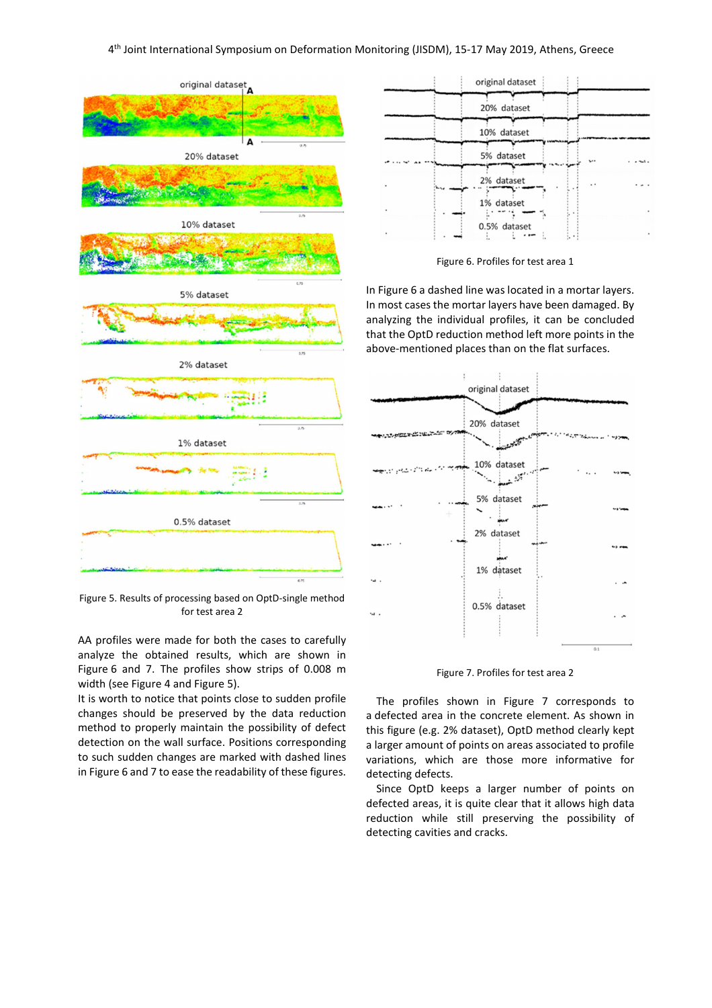

Figure 5. Results of processing based on OptD-single method for test area 2

AA profiles were made for both the cases to carefully analyze the obtained results, which are shown in Figure 6 and 7. The profiles show strips of 0.008 m width (see Figure 4 and Figure 5).

It is worth to notice that points close to sudden profile changes should be preserved by the data reduction method to properly maintain the possibility of defect detection on the wall surface. Positions corresponding to such sudden changes are marked with dashed lines in Figure 6 and 7 to ease the readability of these figures.

| original dataset |                      |   |
|------------------|----------------------|---|
| 20% dataset      |                      |   |
| 10% dataset      |                      |   |
| 5% dataset       | $\ddot{\phantom{0}}$ |   |
| 2% dataset       | . .                  |   |
| 1% dataset       |                      | ٠ |
| 0.5% dataset     |                      |   |



In Figure 6 a dashed line was located in a mortar layers. In most cases the mortar layers have been damaged. By analyzing the individual profiles, it can be concluded that the OptD reduction method left more points in the above-mentioned places than on the flat surfaces.



Figure 7. Profiles for test area 2

The profiles shown in Figure 7 corresponds to a defected area in the concrete element. As shown in this figure (e.g. 2% dataset), OptD method clearly kept a larger amount of points on areas associated to profile variations, which are those more informative for detecting defects.

Since OptD keeps a larger number of points on defected areas, it is quite clear that it allows high data reduction while still preserving the possibility of detecting cavities and cracks.